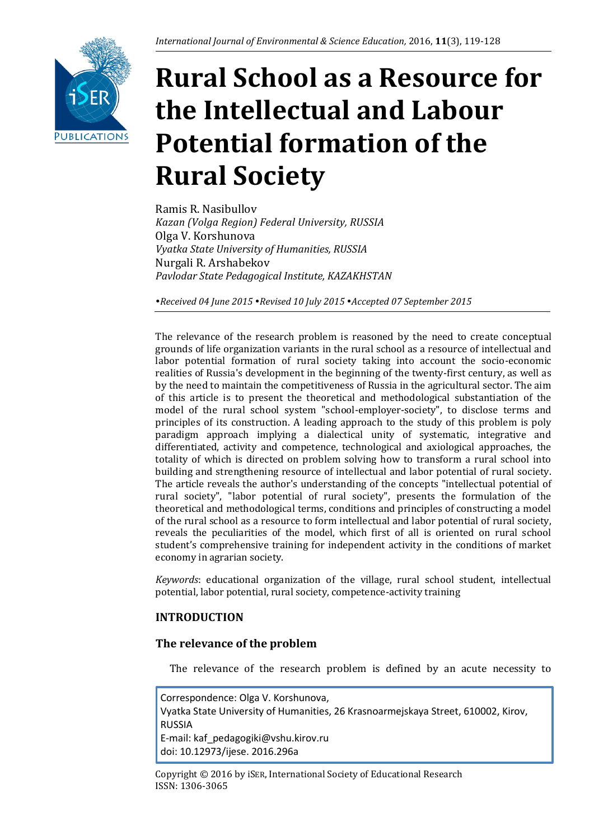

# **Rural School as a Resource for the Intellectual and Labour Potential formation of the Rural Society**

Ramis R. Nasibullov *Kazan (Volga Region) Federal University, RUSSIA* Olga V. Korshunova *Vyatka State University of Humanities, RUSSIA* Nurgali R. Arshabekov *Pavlodar State Pedagogical Institute, KAZAKHSTAN*

*Received 04 June 2015 Revised 10 July 2015 Accepted 07 September 2015*

The relevance of the research problem is reasoned by the need to create conceptual grounds of life organization variants in the rural school as a resource of intellectual and labor potential formation of rural society taking into account the socio-economic realities of Russia's development in the beginning of the twenty-first century, as well as by the need to maintain the competitiveness of Russia in the agricultural sector. The aim of this article is to present the theoretical and methodological substantiation of the model of the rural school system "school-employer-society", to disclose terms and principles of its construction. A leading approach to the study of this problem is poly paradigm approach implying a dialectical unity of systematic, integrative and differentiated, activity and competence, technological and axiological approaches, the totality of which is directed on problem solving how to transform a rural school into building and strengthening resource of intellectual and labor potential of rural society. The article reveals the author's understanding of the concepts "intellectual potential of rural society", "labor potential of rural society", presents the formulation of the theoretical and methodological terms, conditions and principles of constructing a model of the rural school as a resource to form intellectual and labor potential of rural society, reveals the peculiarities of the model, which first of all is oriented on rural school student's comprehensive training for independent activity in the conditions of market economy in agrarian society.

*Keywords*: educational organization of the village, rural school student, intellectual potential, labor potential, rural society, competence-activity training

# **INTRODUCTION**

## **The relevance of the problem**

The relevance of the research problem is defined by an acute necessity to

Correspondence: Olga V. Korshunova, Vyatka State University of Humanities, 26 Krasnoarmejskaya Street, 610002, Kirov, RUSSIA E-mail: kaf\_pedagogiki@vshu.kirov.ru doi: 10.12973/ijese. 2016.296a

Copyright © 2016 by iSER, International Society of Educational Research ISSN: 1306-3065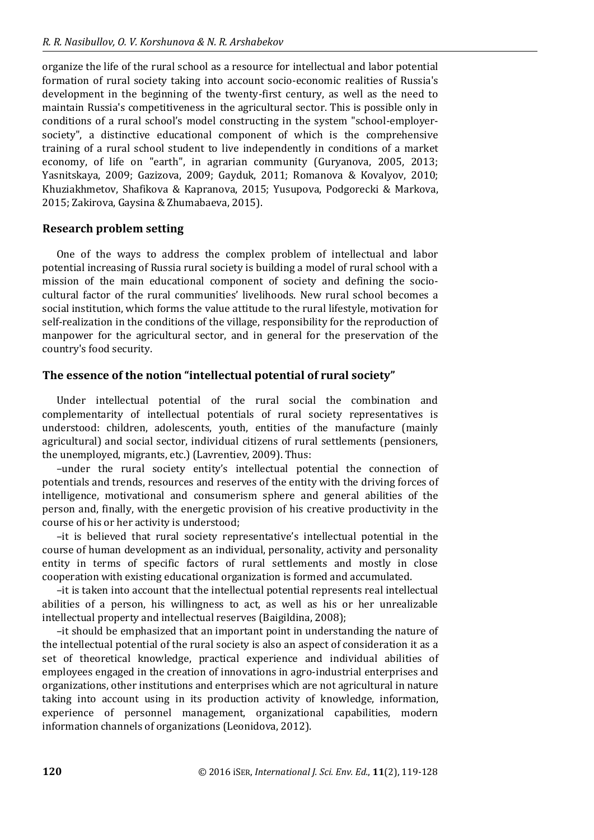organize the life of the rural school as a resource for intellectual and labor potential formation of rural society taking into account socio-economic realities of Russia's development in the beginning of the twenty-first century, as well as the need to maintain Russia's competitiveness in the agricultural sector. This is possible only in conditions of a rural school's model constructing in the system "school-employersociety", a distinctive educational component of which is the comprehensive training of a rural school student to live independently in conditions of a market economy, of life on "earth", in agrarian community (Guryanova, 2005, 2013; Yasnitskaya, 2009; Gazizova, 2009; Gayduk, 2011; Romanova & Kovalyov, 2010; Khuziakhmetov, Shafikova & Kapranova, 2015; Yusupova, Podgorecki & Markova, 2015; Zakirova, Gaysina & Zhumabaeva, 2015).

## **Research problem setting**

One of the ways to address the complex problem of intellectual and labor potential increasing of Russia rural society is building a model of rural school with a mission of the main educational component of society and defining the sociocultural factor of the rural communities' livelihoods. New rural school becomes a social institution, which forms the value attitude to the rural lifestyle, motivation for self-realization in the conditions of the village, responsibility for the reproduction of manpower for the agricultural sector, and in general for the preservation of the country's food security.

## **The essence of the notion "intellectual potential of rural society"**

Under intellectual potential of the rural social the combination and complementarity of intellectual potentials of rural society representatives is understood: children, adolescents, youth, entities of the manufacture (mainly agricultural) and social sector, individual citizens of rural settlements (pensioners, the unemployed, migrants, etc.) (Lavrentiev, 2009). Thus:

–under the rural society entity's intellectual potential the connection of potentials and trends, resources and reserves of the entity with the driving forces of intelligence, motivational and consumerism sphere and general abilities of the person and, finally, with the energetic provision of his creative productivity in the course of his or her activity is understood;

–it is believed that rural society representative's intellectual potential in the course of human development as an individual, personality, activity and personality entity in terms of specific factors of rural settlements and mostly in close cooperation with existing educational organization is formed and accumulated.

–it is taken into account that the intellectual potential represents real intellectual abilities of a person, his willingness to act, as well as his or her unrealizable intellectual property and intellectual reserves (Baigildina, 2008);

–it should be emphasized that an important point in understanding the nature of the intellectual potential of the rural society is also an aspect of consideration it as a set of theoretical knowledge, practical experience and individual abilities of employees engaged in the creation of innovations in agro-industrial enterprises and organizations, other institutions and enterprises which are not agricultural in nature taking into account using in its production activity of knowledge, information, experience of personnel management, organizational capabilities, modern information channels of organizations (Leonidova, 2012).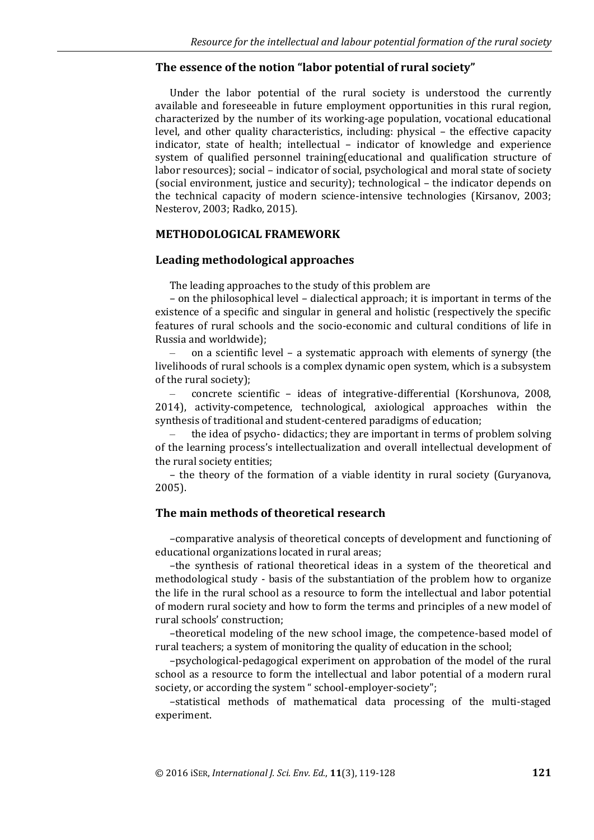#### **The essence of the notion "labor potential of rural society"**

Under the labor potential of the rural society is understood the currently available and foreseeable in future employment opportunities in this rural region, characterized by the number of its working-age population, vocational educational level, and other quality characteristics, including: physical – the effective capacity indicator, state of health; intellectual – indicator of knowledge and experience system of qualified personnel training(educational and qualification structure of labor resources); social – indicator of social, psychological and moral state of society (social environment, justice and security); technological – the indicator depends on the technical capacity of modern science-intensive technologies (Kirsanov, 2003; Nesterov, 2003; Radko, 2015).

#### **METHODOLOGICAL FRAMEWORK**

#### **Leading methodological approaches**

The leading approaches to the study of this problem are

– on the philosophical level – dialectical approach; it is important in terms of the existence of a specific and singular in general and holistic (respectively the specific features of rural schools and the socio-economic and cultural conditions of life in Russia and worldwide);

– on a scientific level – a systematic approach with elements of synergy (the livelihoods of rural schools is a complex dynamic open system, which is a subsystem of the rural society);

– concrete scientific – ideas of integrative-differential (Korshunova, 2008, 2014), activity-competence, technological, axiological approaches within the synthesis of traditional and student-centered paradigms of education;

– the idea of psycho- didactics; they are important in terms of problem solving of the learning process's intellectualization and overall intellectual development of the rural society entities;

– the theory of the formation of a viable identity in rural society (Guryanova, 2005).

#### **The main methods of theoretical research**

–comparative analysis of theoretical concepts of development and functioning of educational organizations located in rural areas;

–the synthesis of rational theoretical ideas in a system of the theoretical and methodological study - basis of the substantiation of the problem how to organize the life in the rural school as a resource to form the intellectual and labor potential of modern rural society and how to form the terms and principles of a new model of rural schools' construction;

–theoretical modeling of the new school image, the competence-based model of rural teachers; a system of monitoring the quality of education in the school;

–psychological-pedagogical experiment on approbation of the model of the rural school as a resource to form the intellectual and labor potential of a modern rural society, or according the system " school-employer-society";

–statistical methods of mathematical data processing of the multi-staged experiment.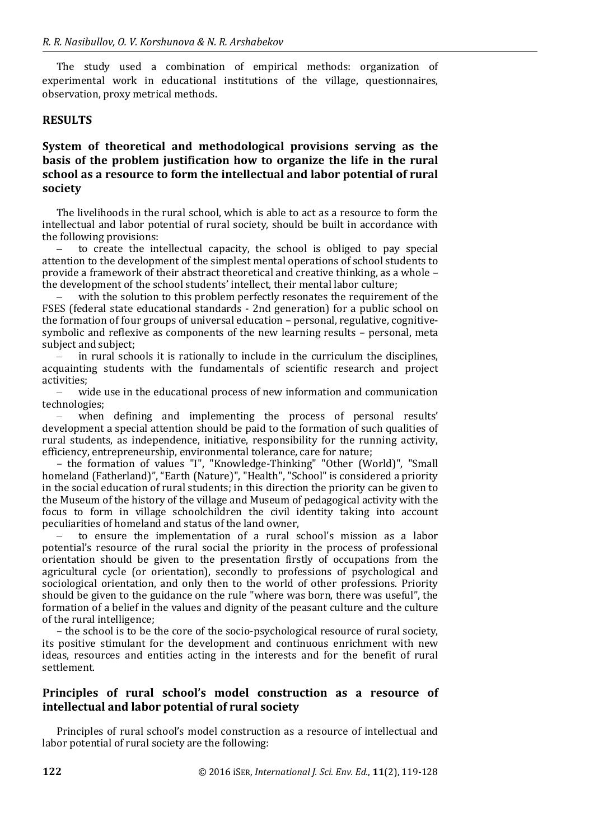The study used a combination of empirical methods: organization of experimental work in educational institutions of the village, questionnaires, observation, proxy metrical methods.

#### **RESULTS**

# **System of theoretical and methodological provisions serving as the basis of the problem justification how to organize the life in the rural school as a resource to form the intellectual and labor potential of rural society**

The livelihoods in the rural school, which is able to act as a resource to form the intellectual and labor potential of rural society, should be built in accordance with the following provisions:

– to create the intellectual capacity, the school is obliged to pay special attention to the development of the simplest mental operations of school students to provide a framework of their abstract theoretical and creative thinking, as a whole – the development of the school students' intellect, their mental labor culture;

– with the solution to this problem perfectly resonates the requirement of the FSES (federal state educational standards - 2nd generation) for a public school on the formation of four groups of universal education – personal, regulative, cognitivesymbolic and reflexive as components of the new learning results – personal, meta subject and subject;

in rural schools it is rationally to include in the curriculum the disciplines. acquainting students with the fundamentals of scientific research and project activities;

– wide use in the educational process of new information and communication technologies;

– when defining and implementing the process of personal results' development a special attention should be paid to the formation of such qualities of rural students, as independence, initiative, responsibility for the running activity, efficiency, entrepreneurship, environmental tolerance, care for nature;

– the formation of values "I", "Knowledge-Thinking" "Other (World)", "Small homeland (Fatherland)", "Earth (Nature)", "Health", "School" is considered a priority in the social education of rural students; in this direction the priority can be given to the Museum of the history of the village and Museum of pedagogical activity with the focus to form in village schoolchildren the civil identity taking into account peculiarities of homeland and status of the land owner,

– to ensure the implementation of a rural school's mission as a labor potential's resource of the rural social the priority in the process of professional orientation should be given to the presentation firstly of occupations from the agricultural cycle (or orientation), secondly to professions of psychological and sociological orientation, and only then to the world of other professions. Priority should be given to the guidance on the rule "where was born, there was useful", the formation of a belief in the values and dignity of the peasant culture and the culture of the rural intelligence;

– the school is to be the core of the socio-psychological resource of rural society, its positive stimulant for the development and continuous enrichment with new ideas, resources and entities acting in the interests and for the benefit of rural settlement.

# **Principles of rural school's model construction as a resource of intellectual and labor potential of rural society**

Principles of rural school's model construction as a resource of intellectual and labor potential of rural society are the following: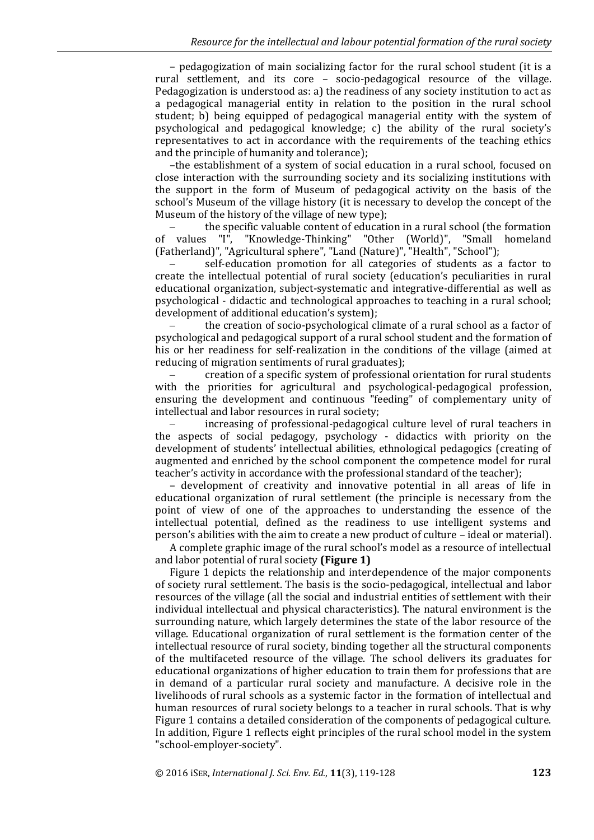– pedagogization of main socializing factor for the rural school student (it is a rural settlement, and its core – socio-pedagogical resource of the village. Pedagogization is understood as: a) the readiness of any society institution to act as a pedagogical managerial entity in relation to the position in the rural school student; b) being equipped of pedagogical managerial entity with the system of psychological and pedagogical knowledge; c) the ability of the rural society's representatives to act in accordance with the requirements of the teaching ethics and the principle of humanity and tolerance);

–the establishment of a system of social education in a rural school, focused on close interaction with the surrounding society and its socializing institutions with the support in the form of Museum of pedagogical activity on the basis of the school's Museum of the village history (it is necessary to develop the concept of the Museum of the history of the village of new type);

– the specific valuable content of education in a rural school (the formation of values "I", "Knowledge-Thinking" "Other (World)", "Small homeland (Fatherland)", "Agricultural sphere", "Land (Nature)", "Health", "School");

– self-education promotion for all categories of students as a factor to create the intellectual potential of rural society (education's peculiarities in rural educational organization, subject-systematic and integrative-differential as well as psychological - didactic and technological approaches to teaching in a rural school; development of additional education's system);

– the creation of socio-psychological climate of a rural school as a factor of psychological and pedagogical support of a rural school student and the formation of his or her readiness for self-realization in the conditions of the village (aimed at reducing of migration sentiments of rural graduates);

– creation of a specific system of professional orientation for rural students with the priorities for agricultural and psychological-pedagogical profession, ensuring the development and continuous "feeding" of complementary unity of intellectual and labor resources in rural society;

– increasing of professional-pedagogical culture level of rural teachers in the aspects of social pedagogy, psychology - didactics with priority on the development of students' intellectual abilities, ethnological pedagogics (creating of augmented and enriched by the school component the competence model for rural teacher's activity in accordance with the professional standard of the teacher);

– development of creativity and innovative potential in all areas of life in educational organization of rural settlement (the principle is necessary from the point of view of one of the approaches to understanding the essence of the intellectual potential, defined as the readiness to use intelligent systems and person's abilities with the aim to create a new product of culture – ideal or material).

A complete graphic image of the rural school's model as a resource of intellectual and labor potential of rural society **(Figure 1)**

Figure 1 depicts the relationship and interdependence of the major components of society rural settlement. The basis is the socio-pedagogical, intellectual and labor resources of the village (all the social and industrial entities of settlement with their individual intellectual and physical characteristics). The natural environment is the surrounding nature, which largely determines the state of the labor resource of the village. Educational organization of rural settlement is the formation center of the intellectual resource of rural society, binding together all the structural components of the multifaceted resource of the village. The school delivers its graduates for educational organizations of higher education to train them for professions that are in demand of a particular rural society and manufacture. A decisive role in the livelihoods of rural schools as a systemic factor in the formation of intellectual and human resources of rural society belongs to a teacher in rural schools. That is why Figure 1 contains a detailed consideration of the components of pedagogical culture. In addition, Figure 1 reflects eight principles of the rural school model in the system "school-employer-society".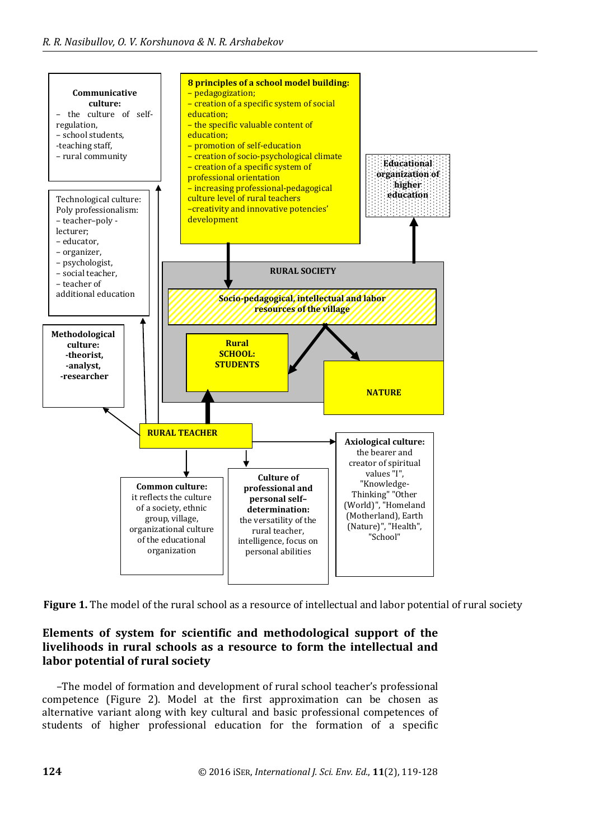

**Figure 1.** The model of the rural school as a resource of intellectual and labor potential of rural society

# **Elements of system for scientific and methodological support of the livelihoods in rural schools as a resource to form the intellectual and labor potential of rural society**

–The model of formation and development of rural school teacher's professional competence (Figure 2). Model at the first approximation can be chosen as alternative variant along with key cultural and basic professional competences of students of higher professional education for the formation of a specific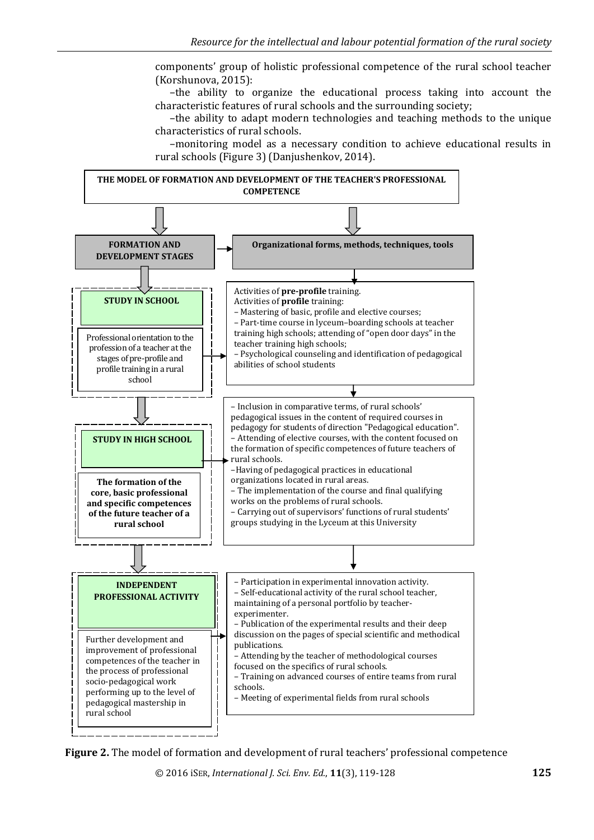components' group of holistic professional competence of the rural school teacher (Korshunova, 2015):

–the ability to organize the educational process taking into account the characteristic features of rural schools and the surrounding society;

–the ability to adapt modern technologies and teaching methods to the unique characteristics of rural schools.

–monitoring model as a necessary condition to achieve educational results in rural schools (Figure 3) (Danjushenkov, 2014).



**Figure 2.** The model of formation and development of rural teachers' professional competence

© 2016 iSER, *International J. Sci. Env. Ed.*, **11**(3), 119-128 **125**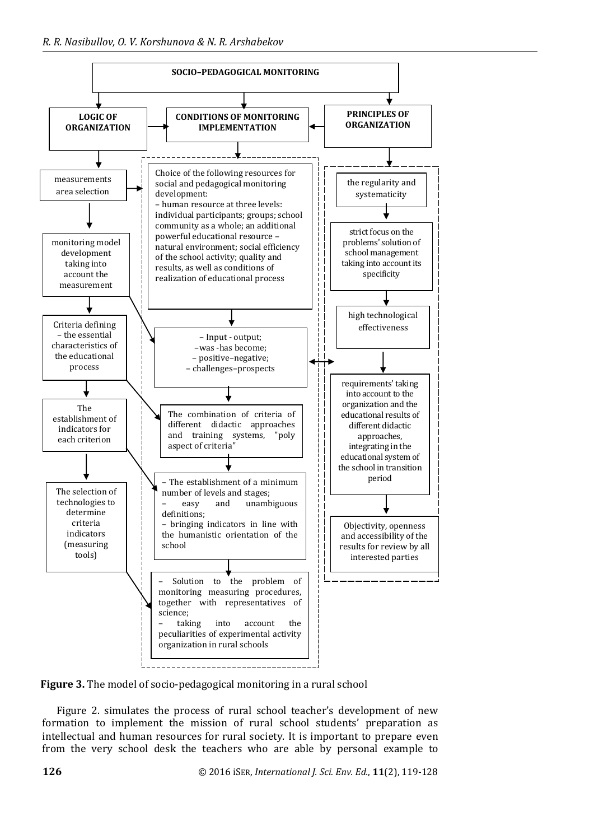

**Figure 3.** The model of socio-pedagogical monitoring in a rural school

Figure 2. simulates the process of rural school teacher's development of new formation to implement the mission of rural school students' preparation as intellectual and human resources for rural society. It is important to prepare even from the very school desk the teachers who are able by personal example to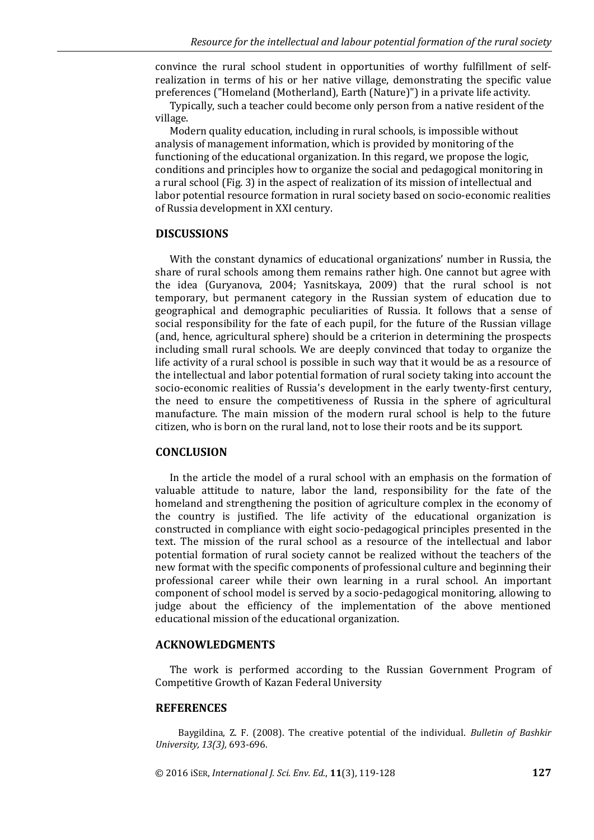convince the rural school student in opportunities of worthy fulfillment of selfrealization in terms of his or her native village, demonstrating the specific value preferences ("Homeland (Motherland), Earth (Nature)") in a private life activity.

Typically, such a teacher could become only person from a native resident of the village.

Modern quality education, including in rural schools, is impossible without analysis of management information, which is provided by monitoring of the functioning of the educational organization. In this regard, we propose the logic, conditions and principles how to organize the social and pedagogical monitoring in a rural school (Fig. 3) in the aspect of realization of its mission of intellectual and labor potential resource formation in rural society based on socio-economic realities of Russia development in XXI century.

#### **DISCUSSIONS**

With the constant dynamics of educational organizations' number in Russia, the share of rural schools among them remains rather high. One cannot but agree with the idea (Guryanova, 2004; Yasnitskaya, 2009) that the rural school is not temporary, but permanent category in the Russian system of education due to geographical and demographic peculiarities of Russia. It follows that a sense of social responsibility for the fate of each pupil, for the future of the Russian village (and, hence, agricultural sphere) should be a criterion in determining the prospects including small rural schools. We are deeply convinced that today to organize the life activity of a rural school is possible in such way that it would be as a resource of the intellectual and labor potential formation of rural society taking into account the socio-economic realities of Russia's development in the early twenty-first century, the need to ensure the competitiveness of Russia in the sphere of agricultural manufacture. The main mission of the modern rural school is help to the future citizen, who is born on the rural land, not to lose their roots and be its support.

#### **CONCLUSION**

In the article the model of a rural school with an emphasis on the formation of valuable attitude to nature, labor the land, responsibility for the fate of the homeland and strengthening the position of agriculture complex in the economy of the country is justified. The life activity of the educational organization is constructed in compliance with eight socio-pedagogical principles presented in the text. The mission of the rural school as a resource of the intellectual and labor potential formation of rural society cannot be realized without the teachers of the new format with the specific components of professional culture and beginning their professional career while their own learning in a rural school. An important component of school model is served by a socio-pedagogical monitoring, allowing to judge about the efficiency of the implementation of the above mentioned educational mission of the educational organization.

#### **ACKNOWLEDGMENTS**

The work is performed according to the Russian Government Program of Competitive Growth of Kazan Federal University

#### **REFERENCES**

Baygildina, Z. F. (2008). The creative potential of the individual. *Bulletin of Bashkir University, 13(3),* 693-696.

© 2016 iSER, *International J. Sci. Env. Ed.*, **11**(3), 119-128 **127**